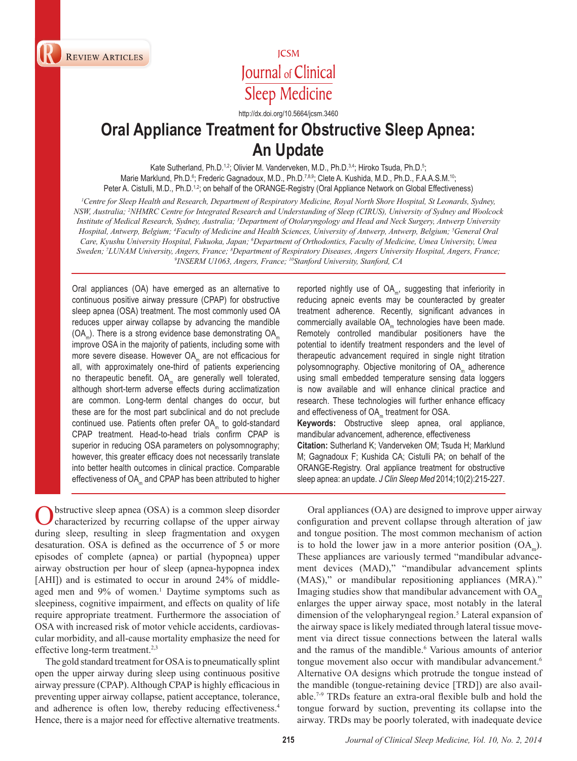**REVIEW ARTICLES** 

**REVIEW ARTICLE** 

# **ICSM** Journal of Clinical **Sleep Medicine**

http://dx.doi.org/10.5664/jcsm.3460

# **Oral Appliance Treatment for Obstructive Sleep Apnea: An Update**

Kate Sutherland, Ph.D.<sup>1,2</sup>; Olivier M. Vanderveken, M.D., Ph.D.<sup>3,4</sup>; Hiroko Tsuda, Ph.D.<sup>5</sup>; Marie Marklund, Ph.D.<sup>6</sup>; Frederic Gagnadoux, M.D., Ph.D.<sup>7,8,9</sup>; Clete A. Kushida, M.D., Ph.D., F.A.A.S.M.<sup>10</sup>; Peter A. Cistulli, M.D., Ph.D.<sup>1,2</sup>; on behalf of the ORANGE-Registry (Oral Appliance Network on Global Effectiveness)

*1 Centre for Sleep Health and Research, Department of Respiratory Medicine, Royal North Shore Hospital, St Leonards, Sydney, NSW, Australia; 2 NHMRC Centre for Integrated Research and Understanding of Sleep (CIRUS), University of Sydney and Woolcock Institute of Medical Research, Sydney, Australia; 3 Department of Otolaryngology and Head and Neck Surgery, Antwerp University Hospital, Antwerp, Belgium; 4 Faculty of Medicine and Health Sciences, University of Antwerp, Antwerp, Belgium; 5 General Oral Care, Kyushu University Hospital, Fukuoka, Japan; 6 Department of Orthodontics, Faculty of Medicine, Umea University, Umea Sweden; 7 LUNAM University, Angers, France; 8 Department of Respiratory Diseases, Angers University Hospital, Angers, France; 9 INSERM U1063, Angers, France; 10Stanford University, Stanford, CA*

Oral appliances (OA) have emerged as an alternative to continuous positive airway pressure (CPAP) for obstructive sleep apnea (OSA) treatment. The most commonly used OA reduces upper airway collapse by advancing the mandible  $(OA<sub>m</sub>)$ . There is a strong evidence base demonstrating  $OA<sub>m</sub>$ improve OSA in the majority of patients, including some with more severe disease. However OA<sub>m</sub> are not efficacious for all, with approximately one-third of patients experiencing no therapeutic benefit. OA<sub>m</sub> are generally well tolerated, although short-term adverse effects during acclimatization are common. Long-term dental changes do occur, but these are for the most part subclinical and do not preclude continued use. Patients often prefer  $OA<sub>m</sub>$  to gold-standard CPAP treatment. Head-to-head trials confirm CPAP is superior in reducing OSA parameters on polysomnography; however, this greater efficacy does not necessarily translate into better health outcomes in clinical practice. Comparable effectiveness of OA<sub>m</sub> and CPAP has been attributed to higher

Obstructive sleep apnea (OSA) is a common sleep disorder characterized by recurring collapse of the upper airway during sleep, resulting in sleep fragmentation and oxygen desaturation. OSA is defined as the occurrence of 5 or more episodes of complete (apnea) or partial (hypopnea) upper airway obstruction per hour of sleep (apnea-hypopnea index [AHI]) and is estimated to occur in around 24% of middleaged men and 9% of women.<sup>1</sup> Daytime symptoms such as sleepiness, cognitive impairment, and effects on quality of life require appropriate treatment. Furthermore the association of OSA with increased risk of motor vehicle accidents, cardiovascular morbidity, and all-cause mortality emphasize the need for effective long-term treatment.<sup>2,3</sup>

The gold standard treatment for OSA is to pneumatically splint open the upper airway during sleep using continuous positive airway pressure (CPAP). Although CPAP is highly efficacious in preventing upper airway collapse, patient acceptance, tolerance, and adherence is often low, thereby reducing effectiveness.<sup>4</sup> Hence, there is a major need for effective alternative treatments.

reported nightly use of  $OA<sub>m</sub>$ , suggesting that inferiority in reducing apneic events may be counteracted by greater treatment adherence. Recently, significant advances in commercially available OA<sub>m</sub> technologies have been made. Remotely controlled mandibular positioners have the potential to identify treatment responders and the level of therapeutic advancement required in single night titration polysomnography. Objective monitoring of OA<sub>m</sub> adherence using small embedded temperature sensing data loggers is now available and will enhance clinical practice and research. These technologies will further enhance efficacy and effectiveness of OA<sub>m</sub> treatment for OSA. **Keywords:** Obstructive sleep apnea, oral appliance, mandibular advancement, adherence, effectiveness **Citation:** Sutherland K; Vanderveken OM; Tsuda H; Marklund M; Gagnadoux F; Kushida CA; Cistulli PA; on behalf of the

ORANGE-Registry. Oral appliance treatment for obstructive sleep apnea: an update. *J Clin Sleep Med* 2014;10(2):215-227.

Oral appliances (OA) are designed to improve upper airway configuration and prevent collapse through alteration of jaw and tongue position. The most common mechanism of action is to hold the lower jaw in a more anterior position  $(OA<sub>m</sub>)$ . These appliances are variously termed "mandibular advancement devices (MAD)," "mandibular advancement splints (MAS)," or mandibular repositioning appliances (MRA)." Imaging studies show that mandibular advancement with  $OA<sub>m</sub>$ enlarges the upper airway space, most notably in the lateral dimension of the velopharyngeal region.<sup>5</sup> Lateral expansion of the airway space is likely mediated through lateral tissue movement via direct tissue connections between the lateral walls and the ramus of the mandible.<sup>6</sup> Various amounts of anterior tongue movement also occur with mandibular advancement.<sup>6</sup> Alternative OA designs which protrude the tongue instead of the mandible (tongue-retaining device [TRD]) are also available.<sup>7-9</sup> TRDs feature an extra-oral flexible bulb and hold the tongue forward by suction, preventing its collapse into the airway. TRDs may be poorly tolerated, with inadequate device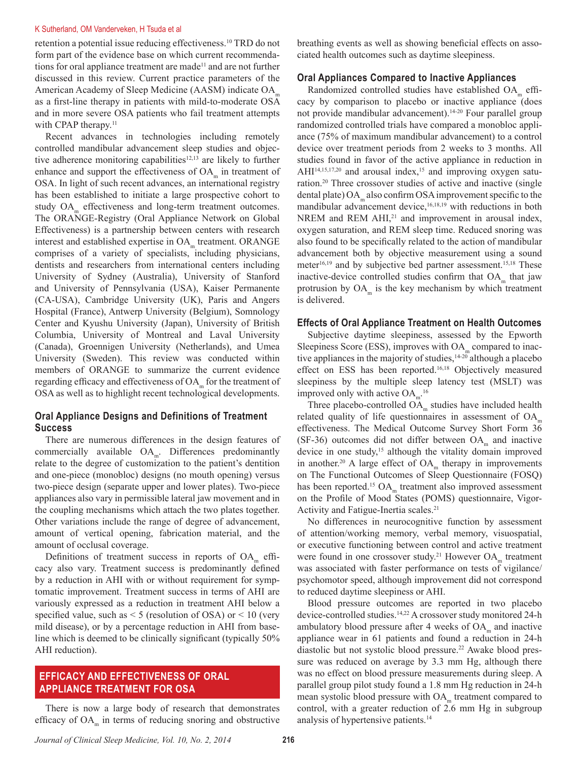#### K Sutherland, OM Vanderveken, H Tsuda et al

retention a potential issue reducing effectiveness.<sup>10</sup> TRD do not form part of the evidence base on which current recommendations for oral appliance treatment are made<sup>11</sup> and are not further discussed in this review. Current practice parameters of the American Academy of Sleep Medicine (AASM) indicate OA as a first-line therapy in patients with mild-to-moderate OSA and in more severe OSA patients who fail treatment attempts with CPAP therapy. $11$ 

Recent advances in technologies including remotely controlled mandibular advancement sleep studies and objective adherence monitoring capabilities<sup>12,13</sup> are likely to further enhance and support the effectiveness of  $OA<sub>m</sub>$  in treatment of OSA. In light of such recent advances, an international registry has been established to initiate a large prospective cohort to study OA<sub>m</sub> effectiveness and long-term treatment outcomes. The ORANGE-Registry (Oral Appliance Network on Global Effectiveness) is a partnership between centers with research interest and established expertise in OA<sub>m</sub> treatment. ORANGE comprises of a variety of specialists, including physicians, dentists and researchers from international centers including University of Sydney (Australia), University of Stanford and University of Pennsylvania (USA), Kaiser Permanente (CA-USA), Cambridge University (UK), Paris and Angers Hospital (France), Antwerp University (Belgium), Somnology Center and Kyushu University (Japan), University of British Columbia, University of Montreal and Laval University (Canada), Groennigen University (Netherlands), and Umea University (Sweden). This review was conducted within members of ORANGE to summarize the current evidence regarding efficacy and effectiveness of OA<sub>m</sub> for the treatment of OSA as well as to highlight recent technological developments.

# **Oral Appliance Designs and Definitions of Treatment Success**

There are numerous differences in the design features of commercially available  $OA<sub>m</sub>$ . Differences predominantly relate to the degree of customization to the patient's dentition and one-piece (monobloc) designs (no mouth opening) versus two-piece design (separate upper and lower plates). Two-piece appliances also vary in permissible lateral jaw movement and in the coupling mechanisms which attach the two plates together. Other variations include the range of degree of advancement, amount of vertical opening, fabrication material, and the amount of occlusal coverage.

Definitions of treatment success in reports of  $OA<sub>m</sub>$  efficacy also vary. Treatment success is predominantly defined by a reduction in AHI with or without requirement for symptomatic improvement. Treatment success in terms of AHI are variously expressed as a reduction in treatment AHI below a specified value, such as  $\leq$  5 (resolution of OSA) or  $\leq$  10 (very mild disease), or by a percentage reduction in AHI from baseline which is deemed to be clinically significant (typically 50% AHI reduction).

# **EFFICACY AND EFFECTIVENESS OF ORAL APPLIANCE TREATMENT FOR OSA**

There is now a large body of research that demonstrates efficacy of  $OA<sub>m</sub>$  in terms of reducing snoring and obstructive

breathing events as well as showing beneficial effects on associated health outcomes such as daytime sleepiness.

## **Oral Appliances Compared to Inactive Appliances**

Randomized controlled studies have established OA<sub>m</sub> efficacy by comparison to placebo or inactive appliance (does not provide mandibular advancement).14-20 Four parallel group randomized controlled trials have compared a monobloc appliance (75% of maximum mandibular advancement) to a control device over treatment periods from 2 weeks to 3 months. All studies found in favor of the active appliance in reduction in  $AHI<sup>14,15,17,20</sup>$  and arousal index,<sup>15</sup> and improving oxygen saturation.20 Three crossover studies of active and inactive (single dental plate) OA<sub>m</sub> also confirm OSA improvement specific to the mandibular advancement device,<sup>16,18,19</sup> with reductions in both NREM and REM AHI,<sup>21</sup> and improvement in arousal index, oxygen saturation, and REM sleep time. Reduced snoring was also found to be specifically related to the action of mandibular advancement both by objective measurement using a sound meter $16,19$  and by subjective bed partner assessment.<sup>15,18</sup> These inactive-device controlled studies confirm that  $OA<sub>m</sub>$  that jaw protrusion by  $OA<sub>m</sub>$  is the key mechanism by which treatment is delivered.

## **Effects of Oral Appliance Treatment on Health Outcomes**

Subjective daytime sleepiness, assessed by the Epworth Sleepiness Score (ESS), improves with OA<sub>m</sub> compared to inactive appliances in the majority of studies,  $14-20$  although a placebo effect on ESS has been reported.<sup>16,18</sup> Objectively measured sleepiness by the multiple sleep latency test (MSLT) was improved only with active  $OA<sub>m</sub>$ <sup>16</sup>

Three placebo-controlled  $O\ddot{A}_m$  studies have included health related quality of life questionnaires in assessment of  $OA<sub>m</sub>$ effectiveness. The Medical Outcome Survey Short Form 36 (SF-36) outcomes did not differ between  $OA<sub>m</sub>$  and inactive device in one study,<sup>15</sup> although the vitality domain improved in another.<sup>20</sup> A large effect of  $OA<sub>m</sub>$  therapy in improvements on The Functional Outcomes of Sleep Questionnaire (FOSQ) has been reported.<sup>15</sup> OA<sub>m</sub> treatment also improved assessment on the Profile of Mood States (POMS) questionnaire, Vigor-Activity and Fatigue-Inertia scales.<sup>21</sup>

No differences in neurocognitive function by assessment of attention/working memory, verbal memory, visuospatial, or executive functioning between control and active treatment were found in one crossover study.<sup>21</sup> However  $OA<sub>m</sub>$  treatment was associated with faster performance on tests of vigilance/ psychomotor speed, although improvement did not correspond to reduced daytime sleepiness or AHI.

Blood pressure outcomes are reported in two placebo device-controlled studies.14,22 A crossover study monitored 24-h ambulatory blood pressure after 4 weeks of  $OA<sub>m</sub>$  and inactive appliance wear in 61 patients and found a reduction in 24-h diastolic but not systolic blood pressure.22 Awake blood pressure was reduced on average by 3.3 mm Hg, although there was no effect on blood pressure measurements during sleep. A parallel group pilot study found a 1.8 mm Hg reduction in 24-h mean systolic blood pressure with  $OA<sub>m</sub>$  treatment compared to control, with a greater reduction of 2.6 mm Hg in subgroup analysis of hypertensive patients.14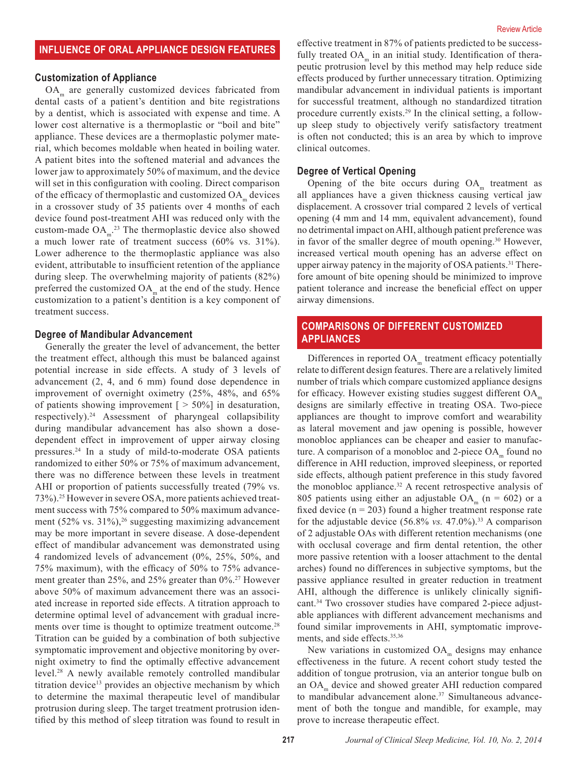# **INFLUENCE OF ORAL APPLIANCE DESIGN FEATURES**

### **Customization of Appliance**

OA<sub>m</sub> are generally customized devices fabricated from dental casts of a patient's dentition and bite registrations by a dentist, which is associated with expense and time. A lower cost alternative is a thermoplastic or "boil and bite" appliance. These devices are a thermoplastic polymer material, which becomes moldable when heated in boiling water. A patient bites into the softened material and advances the lower jaw to approximately 50% of maximum, and the device will set in this configuration with cooling. Direct comparison of the efficacy of thermoplastic and customized  $OA<sub>m</sub>$  devices in a crossover study of 35 patients over 4 months of each device found post-treatment AHI was reduced only with the custom-made  $OA<sub>m</sub>$ <sup>23</sup>. The thermoplastic device also showed a much lower rate of treatment success (60% vs. 31%). Lower adherence to the thermoplastic appliance was also evident, attributable to insufficient retention of the appliance during sleep. The overwhelming majority of patients (82%) preferred the customized  $OA<sub>m</sub>$  at the end of the study. Hence customization to a patient's dentition is a key component of treatment success.

#### **Degree of Mandibular Advancement**

Generally the greater the level of advancement, the better the treatment effect, although this must be balanced against potential increase in side effects. A study of 3 levels of advancement (2, 4, and 6 mm) found dose dependence in improvement of overnight oximetry (25%, 48%, and 65% of patients showing improvement  $\lceil$  > 50% $\rceil$  in desaturation, respectively).24 Assessment of pharyngeal collapsibility during mandibular advancement has also shown a dosedependent effect in improvement of upper airway closing pressures.24 In a study of mild-to-moderate OSA patients randomized to either 50% or 75% of maximum advancement, there was no difference between these levels in treatment AHI or proportion of patients successfully treated (79% vs. 73%).25 However in severe OSA, more patients achieved treatment success with 75% compared to 50% maximum advancement  $(52\% \text{ vs. } 31\%)$ ,<sup>26</sup> suggesting maximizing advancement may be more important in severe disease. A dose-dependent effect of mandibular advancement was demonstrated using 4 randomized levels of advancement (0%, 25%, 50%, and 75% maximum), with the efficacy of 50% to 75% advancement greater than 25%, and 25% greater than 0%.<sup>27</sup> However above 50% of maximum advancement there was an associated increase in reported side effects. A titration approach to determine optimal level of advancement with gradual increments over time is thought to optimize treatment outcome.<sup>28</sup> Titration can be guided by a combination of both subjective symptomatic improvement and objective monitoring by overnight oximetry to find the optimally effective advancement level.28 A newly available remotely controlled mandibular titration device<sup>13</sup> provides an objective mechanism by which to determine the maximal therapeutic level of mandibular protrusion during sleep. The target treatment protrusion identified by this method of sleep titration was found to result in

effective treatment in 87% of patients predicted to be successfully treated  $OA_m$  in an initial study. Identification of therapeutic protrusion level by this method may help reduce side effects produced by further unnecessary titration. Optimizing mandibular advancement in individual patients is important for successful treatment, although no standardized titration procedure currently exists.29 In the clinical setting, a followup sleep study to objectively verify satisfactory treatment is often not conducted; this is an area by which to improve clinical outcomes.

#### **Degree of Vertical Opening**

Opening of the bite occurs during  $OA<sub>m</sub>$  treatment as all appliances have a given thickness causing vertical jaw displacement. A crossover trial compared 2 levels of vertical opening (4 mm and 14 mm, equivalent advancement), found no detrimental impact on AHI, although patient preference was in favor of the smaller degree of mouth opening.<sup>30</sup> However, increased vertical mouth opening has an adverse effect on upper airway patency in the majority of OSA patients.<sup>31</sup> Therefore amount of bite opening should be minimized to improve patient tolerance and increase the beneficial effect on upper airway dimensions.

# **COMPARISONS OF DIFFERENT CUSTOMIZED APPLIANCES**

Differences in reported  $OA<sub>m</sub>$  treatment efficacy potentially relate to different design features. There are a relatively limited number of trials which compare customized appliance designs for efficacy. However existing studies suggest different  $OA<sub>m</sub>$ designs are similarly effective in treating OSA. Two-piece appliances are thought to improve comfort and wearability as lateral movement and jaw opening is possible, however monobloc appliances can be cheaper and easier to manufacture. A comparison of a monobloc and 2-piece  $OA<sub>m</sub>$  found no difference in AHI reduction, improved sleepiness, or reported side effects, although patient preference in this study favored the monobloc appliance.<sup>32</sup> A recent retrospective analysis of 805 patients using either an adjustable  $OA<sub>m</sub>$  (n = 602) or a fixed device  $(n = 203)$  found a higher treatment response rate for the adjustable device (56.8% *vs.* 47.0%).33 A comparison of 2 adjustable OAs with different retention mechanisms (one with occlusal coverage and firm dental retention, the other more passive retention with a looser attachment to the dental arches) found no differences in subjective symptoms, but the passive appliance resulted in greater reduction in treatment AHI, although the difference is unlikely clinically significant.34 Two crossover studies have compared 2-piece adjustable appliances with different advancement mechanisms and found similar improvements in AHI, symptomatic improvements, and side effects.35,36

New variations in customized  $OA<sub>m</sub>$  designs may enhance effectiveness in the future. A recent cohort study tested the addition of tongue protrusion, via an anterior tongue bulb on an OA<sub>m</sub> device and showed greater AHI reduction compared to mandibular advancement alone.<sup>37</sup> Simultaneous advancement of both the tongue and mandible, for example, may prove to increase therapeutic effect.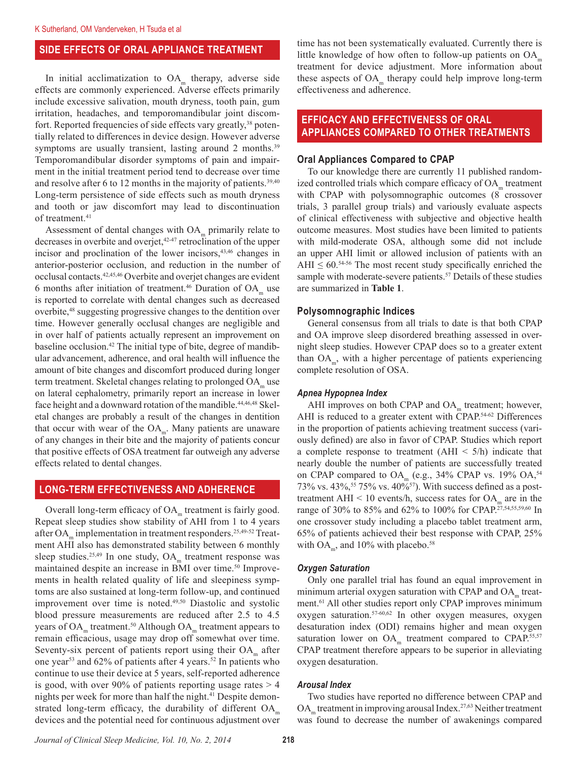# **SIDE EFFECTS OF ORAL APPLIANCE TREATMENT**

In initial acclimatization to  $OA<sub>m</sub>$  therapy, adverse side effects are commonly experienced. Adverse effects primarily include excessive salivation, mouth dryness, tooth pain, gum irritation, headaches, and temporomandibular joint discomfort. Reported frequencies of side effects vary greatly,<sup>38</sup> potentially related to differences in device design. However adverse symptoms are usually transient, lasting around 2 months.<sup>39</sup> Temporomandibular disorder symptoms of pain and impairment in the initial treatment period tend to decrease over time and resolve after 6 to 12 months in the majority of patients. $39,40$ Long-term persistence of side effects such as mouth dryness and tooth or jaw discomfort may lead to discontinuation of treatment.<sup>41</sup>

Assessment of dental changes with  $OA<sub>m</sub>$  primarily relate to decreases in overbite and overjet,<sup>42-47</sup> retroclination of the upper incisor and proclination of the lower incisors,43,46 changes in anterior-posterior occlusion, and reduction in the number of occlusal contacts.42,45,46 Overbite and overjet changes are evident 6 months after initiation of treatment.<sup>46</sup> Duration of  $OA<sub>m</sub>$  use is reported to correlate with dental changes such as decreased overbite,<sup>48</sup> suggesting progressive changes to the dentition over time. However generally occlusal changes are negligible and in over half of patients actually represent an improvement on baseline occlusion.42 The initial type of bite, degree of mandibular advancement, adherence, and oral health will influence the amount of bite changes and discomfort produced during longer term treatment. Skeletal changes relating to prolonged OA<sub>m</sub> use on lateral cephalometry, primarily report an increase in lower face height and a downward rotation of the mandible.<sup>44,46,48</sup> Skeletal changes are probably a result of the changes in dentition that occur with wear of the  $OA<sub>m</sub>$ . Many patients are unaware of any changes in their bite and the majority of patients concur that positive effects of OSA treatment far outweigh any adverse effects related to dental changes.

## **LONG-TERM EFFECTIVENESS AND ADHERENCE**

Overall long-term efficacy of  $OA<sub>m</sub>$  treatment is fairly good. Repeat sleep studies show stability of AHI from 1 to 4 years after OA<sub>m</sub> implementation in treatment responders.<sup>25,49-52</sup> Treatment AHI also has demonstrated stability between 6 monthly sleep studies.<sup>25,49</sup> In one study,  $OA<sub>m</sub>$  treatment response was maintained despite an increase in BMI over time.<sup>50</sup> Improvements in health related quality of life and sleepiness symptoms are also sustained at long-term follow-up, and continued improvement over time is noted.49,50 Diastolic and systolic blood pressure measurements are reduced after 2.5 to 4.5 years of OA<sub>m</sub> treatment.<sup>50</sup> Although OA<sub>m</sub> treatment appears to remain efficacious, usage may drop off somewhat over time. Seventy-six percent of patients report using their  $OA<sub>m</sub>$  after one year<sup>53</sup> and 62% of patients after 4 years.<sup>52</sup> In patients who continue to use their device at 5 years, self-reported adherence is good, with over 90% of patients reporting usage rates  $> 4$ nights per week for more than half the night.<sup>41</sup> Despite demonstrated long-term efficacy, the durability of different  $OA<sub>m</sub>$ devices and the potential need for continuous adjustment over

time has not been systematically evaluated. Currently there is little knowledge of how often to follow-up patients on  $OA<sub>m</sub>$ treatment for device adjustment. More information about these aspects of  $OA<sub>m</sub>$  therapy could help improve long-term effectiveness and adherence.

# **EFFICACY AND EFFECTIVENESS OF ORAL APPLIANCES COMPARED TO OTHER TREATMENTS**

#### **Oral Appliances Compared to CPAP**

To our knowledge there are currently 11 published randomized controlled trials which compare efficacy of  $OA<sub>m</sub>$  treatment with CPAP with polysomnographic outcomes (8 crossover trials, 3 parallel group trials) and variously evaluate aspects of clinical effectiveness with subjective and objective health outcome measures. Most studies have been limited to patients with mild-moderate OSA, although some did not include an upper AHI limit or allowed inclusion of patients with an AHI  $\leq 60$ .<sup>54-56</sup> The most recent study specifically enriched the sample with moderate-severe patients.<sup>57</sup> Details of these studies are summarized in **Table 1**.

### **Polysomnographic Indices**

General consensus from all trials to date is that both CPAP and OA improve sleep disordered breathing assessed in overnight sleep studies. However CPAP does so to a greater extent than  $OA<sub>m</sub>$ , with a higher percentage of patients experiencing complete resolution of OSA.

#### *Apnea Hypopnea Index*

AHI improves on both CPAP and  $OA<sub>m</sub>$  treatment; however, AHI is reduced to a greater extent with CPAP.<sup>54-62</sup> Differences in the proportion of patients achieving treatment success (variously defined) are also in favor of CPAP. Studies which report a complete response to treatment  $(AHI < 5/h)$  indicate that nearly double the number of patients are successfully treated on CPAP compared to OA<sub>m</sub> (e.g., 34% CPAP vs. 19% OA,<sup>54</sup> 73% vs. 43%,<sup>55</sup> 75% vs. 40%<sup>57</sup>). With success defined as a posttreatment AHI  $<$  10 events/h, success rates for OA<sub>m</sub> are in the range of 30% to 85% and 62% to 100% for CPAP.27,54,55,59,60 In one crossover study including a placebo tablet treatment arm, 65% of patients achieved their best response with CPAP, 25% with OA<sub>m</sub>, and 10% with placebo.<sup>58</sup>

#### *Oxygen Saturation*

Only one parallel trial has found an equal improvement in minimum arterial oxygen saturation with CPAP and OA<sub>m</sub> treatment.<sup>61</sup> All other studies report only CPAP improves minimum oxygen saturation.57-60,62 In other oxygen measures, oxygen desaturation index (ODI) remains higher and mean oxygen saturation lower on  $OA_m$  treatment compared to CPAP.<sup>55,57</sup> CPAP treatment therefore appears to be superior in alleviating oxygen desaturation.

#### *Arousal Index*

Two studies have reported no difference between CPAP and OA<sub>m</sub> treatment in improving arousal Index.<sup>27,63</sup> Neither treatment was found to decrease the number of awakenings compared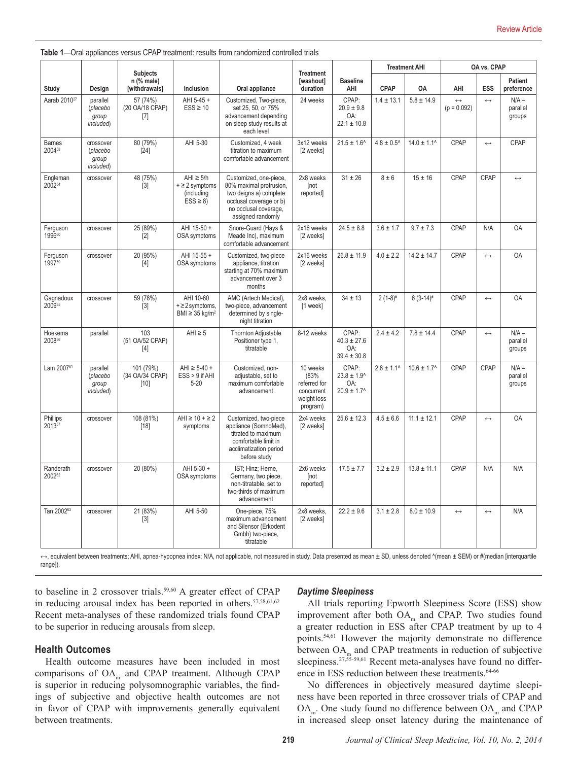| Table 1—Oral appliances versus CPAP treatment: results from randomized controlled trials |  |  |  |  |
|------------------------------------------------------------------------------------------|--|--|--|--|
|------------------------------------------------------------------------------------------|--|--|--|--|

|                                |                                             | <b>Subjects</b>                      |                                                                      |                                                                                                                                                      | <b>Treatment</b>                                                          |                                                                       | <b>Treatment AHI</b>       |                        | OA vs. CPAP                        |                   |                               |
|--------------------------------|---------------------------------------------|--------------------------------------|----------------------------------------------------------------------|------------------------------------------------------------------------------------------------------------------------------------------------------|---------------------------------------------------------------------------|-----------------------------------------------------------------------|----------------------------|------------------------|------------------------------------|-------------------|-------------------------------|
| Study                          | Design                                      | $n$ (% male)<br>[withdrawals]        | Inclusion                                                            | Oral appliance                                                                                                                                       | [washout]<br>duration                                                     | <b>Baseline</b><br>AHI                                                | <b>CPAP</b>                | OA                     | AHI                                | ESS               | Patient<br>preference         |
| Aarab 2010 <sup>27</sup>       | parallel<br>(placebo<br>group<br>included)  | 57 (74%)<br>(20 OA/18 CPAP)<br>$[7]$ | AHI 5-45 +<br>$ESS \geq 10$                                          | Customized, Two-piece,<br>set 25, 50, or 75%<br>advancement depending<br>on sleep study results at<br>each level                                     | 24 weeks                                                                  | CPAP:<br>$20.9 \pm 9.8$<br>OA:<br>$22.1 \pm 10.8$                     | $1.4 \pm 13.1$             | $5.8 \pm 14.9$         | $\leftrightarrow$<br>$(p = 0.092)$ | $\leftrightarrow$ | $N/A -$<br>parallel<br>groups |
| <b>Barnes</b><br>200458        | crossover<br>(placebo<br>group<br>included) | 80 (79%)<br>[24]                     | AHI 5-30                                                             | Customized, 4 week<br>titration to maximum<br>comfortable advancement                                                                                | 3x12 weeks<br>[2 weeks]                                                   | $21.5 \pm 1.6$ <sup>^</sup>                                           | $4.8 \pm 0.5$ <sup>*</sup> | $14.0 \pm 1.1^{\circ}$ | CPAP                               | $\leftrightarrow$ | CPAP                          |
| Engleman<br>2002 <sup>54</sup> | crossover                                   | 48 (75%)<br>$\lceil 3 \rceil$        | $AHI \geq 5/h$<br>$+ \geq 2$ symptoms<br>(including<br>$ESS \geq 8$  | Customized, one-piece,<br>80% maximal protrusion,<br>two deigns a) complete<br>occlusal coverage or b)<br>no occlusal coverage,<br>assigned randomly | 2x8 weeks<br>[not<br>reported]                                            | $31 \pm 26$                                                           | $8 \pm 6$                  | $15 + 16$              | CPAP                               | CPAP              | $\leftrightarrow$             |
| Ferguson<br>199660             | crossover                                   | 25 (89%)<br>[2]                      | AHI 15-50 +<br>OSA symptoms                                          | Snore-Guard (Hays &<br>Meade Inc), maximum<br>comfortable advancement                                                                                | 2x16 weeks<br>[2 weeks]                                                   | $24.5 \pm 8.8$                                                        | $3.6 \pm 1.7$              | $9.7 \pm 7.3$          | CPAP                               | N/A               | <b>OA</b>                     |
| Ferguson<br>199759             | crossover                                   | 20 (95%)<br>$[4]$                    | AHI 15-55 +<br>OSA symptoms                                          | Customized, two-piece<br>appliance, titration<br>starting at 70% maximum<br>advancement over 3<br>months                                             | 2x16 weeks<br>[2 weeks]                                                   | $26.8 \pm 11.9$                                                       | $4.0 \pm 2.2$              | $14.2 \pm 14.7$        | CPAP                               | $\leftrightarrow$ | <b>OA</b>                     |
| Gagnadoux<br>200955            | crossover                                   | 59 (78%)<br>$[3]$                    | AHI 10-60<br>$+ \geq 2$ symptoms,<br>BMI $\geq$ 35 kg/m <sup>2</sup> | AMC (Artech Medical),<br>two-piece, advancement<br>determined by single-<br>night titration                                                          | 2x8 weeks.<br>[1 week]                                                    | $34 \pm 13$                                                           | $2(1-8)$ #                 | $6(3-14)$ #            | CPAP                               | $\leftrightarrow$ | <b>OA</b>                     |
| Hoekema<br>200856              | parallel                                    | 103<br>(51 OA/52 CPAP)<br>$[4]$      | AHI $\ge$ 5                                                          | Thornton Adjustable<br>Positioner type 1,<br>titratable                                                                                              | 8-12 weeks                                                                | CPAP:<br>$40.3 \pm 27.6$<br>OA:<br>$39.4 \pm 30.8$                    | $2.4 \pm 4.2$              | $7.8 \pm 14.4$         | CPAP                               | $\leftrightarrow$ | $N/A -$<br>parallel<br>groups |
| Lam 2007 <sup>61</sup>         | parallel<br>(placebo<br>group<br>included)  | 101 (79%)<br>(34 OA/34 CPAP)<br>[10] | $AHI \ge 5-40 +$<br>$ESS > 9$ if AHI<br>$5 - 20$                     | Customized, non-<br>adjustable, set to<br>maximum comfortable<br>advancement                                                                         | 10 weeks<br>(83%<br>referred for<br>concurrent<br>weight loss<br>program) | CPAP:<br>$23.8 \pm 1.9$ <sup>^</sup><br>OA:<br>$20.9 \pm 1.7^{\circ}$ | $2.8 \pm 1.1$ <sup>^</sup> | $10.6 \pm 1.7^{\circ}$ | CPAP                               | CPAP              | $N/A -$<br>parallel<br>groups |
| Phillips<br>201357             | crossover                                   | 108 (81%)<br>[18]                    | AHI $\ge$ 10 + $\ge$ 2<br>symptoms                                   | Customized, two-piece<br>appliance (SomnoMed),<br>titrated to maximum<br>comfortable limit in<br>acclimatization period<br>before study              | 2x4 weeks<br>[2 weeks]                                                    | $25.6 \pm 12.3$                                                       | $4.5 \pm 6.6$              | $11.1 \pm 12.1$        | CPAP                               | $\leftrightarrow$ | 0A                            |
| Randerath<br>200262            | crossover                                   | 20 (80%)                             | AHI 5-30 +<br>OSA symptoms                                           | IST; Hinz; Herne,<br>Germany, two piece,<br>non-titratable, set to<br>two-thirds of maximum<br>advancement                                           | 2x6 weeks<br>[not<br>reported]                                            | $17.5 \pm 7.7$                                                        | $3.2 \pm 2.9$              | $13.8 \pm 11.1$        | CPAP                               | N/A               | N/A                           |
| Tan 2002 <sup>63</sup>         | crossover                                   | 21 (83%)<br>$[3]$                    | AHI 5-50                                                             | One-piece, 75%<br>maximum advancement<br>and Silensor (Erkodent<br>Gmbh) two-piece,<br>titratable                                                    | 2x8 weeks,<br>[2 weeks]                                                   | $22.2 \pm 9.6$                                                        | $3.1 \pm 2.8$              | $8.0 \pm 10.9$         | $\leftrightarrow$                  | $\leftrightarrow$ | N/A                           |

→, equivalent between treatments; AHI, apnea-hypopnea index; N/A, not applicable, not measured in study. Data presented as mean ± SD, unless denoted ^(mean ± SEM) or #(median [interquartile range]).

to baseline in 2 crossover trials.<sup>59,60</sup> A greater effect of CPAP in reducing arousal index has been reported in others. $57,58,61,62$ Recent meta-analyses of these randomized trials found CPAP to be superior in reducing arousals from sleep.

## **Health Outcomes**

Health outcome measures have been included in most comparisons of OA<sub>m</sub> and CPAP treatment. Although CPAP is superior in reducing polysomnographic variables, the findings of subjective and objective health outcomes are not in favor of CPAP with improvements generally equivalent between treatments.

#### *Daytime Sleepiness*

All trials reporting Epworth Sleepiness Score (ESS) show improvement after both OA<sub>m</sub> and CPAP. Two studies found a greater reduction in ESS after CPAP treatment by up to 4 points.54,61 However the majority demonstrate no difference between OA<sub>m</sub> and CPAP treatments in reduction of subjective sleepiness.<sup>27,55-59,61</sup> Recent meta-analyses have found no difference in ESS reduction between these treatments.<sup>64-66</sup>

No differences in objectively measured daytime sleepiness have been reported in three crossover trials of CPAP and  $OA<sub>m</sub>$ . One study found no difference between  $OA<sub>m</sub>$  and CPAP in increased sleep onset latency during the maintenance of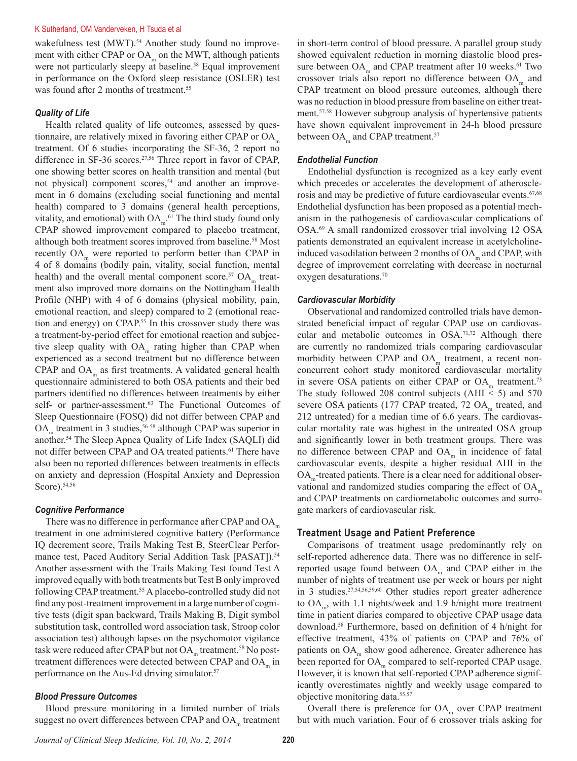#### K Sutherland, OM Vanderveken, H Tsuda et al

wakefulness test (MWT).<sup>54</sup> Another study found no improvement with either CPAP or  $OA<sub>m</sub>$  on the MWT, although patients were not particularly sleepy at baseline.<sup>58</sup> Equal improvement in performance on the Oxford sleep resistance (OSLER) test was found after 2 months of treatment.<sup>55</sup>

#### *Quality of Life*

Health related quality of life outcomes, assessed by questionnaire, are relatively mixed in favoring either CPAP or  $OA<sub>m</sub>$ treatment. Of 6 studies incorporating the SF-36, 2 report no difference in SF-36 scores.<sup>27,56</sup> Three report in favor of CPAP, one showing better scores on health transition and mental (but not physical) component scores,<sup>54</sup> and another an improvement in 6 domains (excluding social functioning and mental health) compared to 3 domains (general health perceptions, vitality, and emotional) with  $OA<sub>m</sub>$ <sup>61</sup>. The third study found only CPAP showed improvement compared to placebo treatment, although both treatment scores improved from baseline.<sup>58</sup> Most recently OA<sub>m</sub> were reported to perform better than CPAP in 4 of 8 domains (bodily pain, vitality, social function, mental health) and the overall mental component score.<sup>57</sup>  $OA<sub>m</sub>$  treatment also improved more domains on the Nottingham Health Profile (NHP) with 4 of 6 domains (physical mobility, pain, emotional reaction, and sleep) compared to 2 (emotional reaction and energy) on CPAP.<sup>55</sup> In this crossover study there was a treatment-by-period effect for emotional reaction and subjective sleep quality with  $OA<sub>m</sub>$  rating higher than CPAP when experienced as a second treatment but no difference between CPAP and  $OA<sub>m</sub>$  as first treatments. A validated general health questionnaire administered to both OSA patients and their bed partners identified no differences between treatments by either self- or partner-assessment.<sup>63</sup> The Functional Outcomes of Sleep Questionnaire (FOSQ) did not differ between CPAP and OA<sub>m</sub> treatment in 3 studies,<sup>56-58</sup> although CPAP was superior in another.<sup>54</sup> The Sleep Apnea Quality of Life Index (SAQLI) did not differ between CPAP and OA treated patients.<sup>61</sup> There have also been no reported differences between treatments in effects on anxiety and depression (Hospital Anxiety and Depression Score).54,56

#### *Cognitive Performance*

There was no difference in performance after CPAP and  $OA<sub>m</sub>$ treatment in one administered cognitive battery (Performance IQ decrement score, Trails Making Test B, SteerClear Performance test, Paced Auditory Serial Addition Task [PASAT]).<sup>54</sup> Another assessment with the Trails Making Test found Test A improved equally with both treatments but Test B only improved following CPAP treatment.<sup>55</sup> A placebo-controlled study did not find any post-treatment improvement in a large number of cognitive tests (digit span backward, Trails Making B, Digit symbol substitution task, controlled word association task, Stroop color association test) although lapses on the psychomotor vigilance task were reduced after CPAP but not OA<sub>m</sub> treatment.<sup>58</sup> No posttreatment differences were detected between CPAP and OA<sub>m</sub> in performance on the Aus-Ed driving simulator.<sup>57</sup>

### *Blood Pressure Outcomes*

Blood pressure monitoring in a limited number of trials suggest no overt differences between CPAP and OA<sub>m</sub> treatment

in short-term control of blood pressure. A parallel group study showed equivalent reduction in morning diastolic blood pressure between  $OA<sub>m</sub>$  and CPAP treatment after 10 weeks.<sup>61</sup> Two crossover trials also report no difference between  $OA<sub>m</sub>$  and CPAP treatment on blood pressure outcomes, although there was no reduction in blood pressure from baseline on either treatment.57,58 However subgroup analysis of hypertensive patients have shown equivalent improvement in 24-h blood pressure between  $OA<sub>m</sub>$  and CPAP treatment.<sup>57</sup>

#### *Endothelial Function*

Endothelial dysfunction is recognized as a key early event which precedes or accelerates the development of atherosclerosis and may be predictive of future cardiovascular events.<sup>67,68</sup> Endothelial dysfunction has been proposed as a potential mechanism in the pathogenesis of cardiovascular complications of OSA.69 A small randomized crossover trial involving 12 OSA patients demonstrated an equivalent increase in acetylcholineinduced vasodilation between 2 months of  $OA<sub>m</sub>$  and CPAP, with degree of improvement correlating with decrease in nocturnal oxygen desaturations.70

#### *Cardiovascular Morbidity*

Observational and randomized controlled trials have demonstrated beneficial impact of regular CPAP use on cardiovascular and metabolic outcomes in OSA.71,72 Although there are currently no randomized trials comparing cardiovascular morbidity between CPAP and  $OA<sub>m</sub>$  treatment, a recent nonconcurrent cohort study monitored cardiovascular mortality in severe OSA patients on either CPAP or  $OA<sub>m</sub>$  treatment.<sup>73</sup> The study followed 208 control subjects (AHI  $\le$  5) and 570 severe OSA patients (177 CPAP treated, 72 OA<sub>m</sub> treated, and 212 untreated) for a median time of 6.6 years. The cardiovascular mortality rate was highest in the untreated OSA group and significantly lower in both treatment groups. There was no difference between CPAP and  $OA<sub>m</sub>$  in incidence of fatal cardiovascular events, despite a higher residual AHI in the OA<sub>m</sub>-treated patients. There is a clear need for additional observational and randomized studies comparing the effect of  $OA<sub>m</sub>$ and CPAP treatments on cardiometabolic outcomes and surrogate markers of cardiovascular risk.

## **Treatment Usage and Patient Preference**

Comparisons of treatment usage predominantly rely on self-reported adherence data. There was no difference in selfreported usage found between  $OA<sub>m</sub>$  and CPAP either in the number of nights of treatment use per week or hours per night in 3 studies.27,54,56,59,60 Other studies report greater adherence to  $OA<sub>m</sub>$ , with 1.1 nights/week and 1.9 h/night more treatment time in patient diaries compared to objective CPAP usage data download.58 Furthermore, based on definition of 4 h/night for effective treatment, 43% of patients on CPAP and 76% of patients on OA<sub>m</sub> show good adherence. Greater adherence has been reported for  $OA<sub>m</sub>$  compared to self-reported CPAP usage. However, it is known that self-reported CPAP adherence significantly overestimates nightly and weekly usage compared to objective monitoring data.55,57

Overall there is preference for  $OA<sub>m</sub>$  over CPAP treatment but with much variation. Four of 6 crossover trials asking for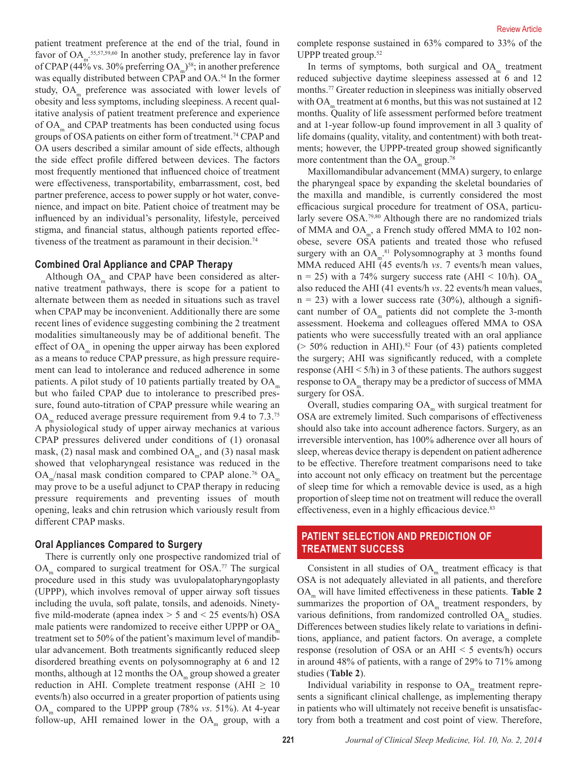patient treatment preference at the end of the trial, found in favor of  $OA<sub>m</sub>$ <sup>55,57,59,60</sup> In another study, preference lay in favor of CPAP (44% vs. 30% preferring  $OA<sub>m</sub>$ )<sup>58</sup>; in another preference was equally distributed between CPAP and OA.<sup>54</sup> In the former study,  $OA<sub>m</sub>$  preference was associated with lower levels of obesity and less symptoms, including sleepiness. A recent qualitative analysis of patient treatment preference and experience of  $OA<sub>m</sub>$  and CPAP treatments has been conducted using focus groups of OSA patients on either form of treatment.<sup>74</sup> CPAP and OA users described a similar amount of side effects, although the side effect profile differed between devices. The factors most frequently mentioned that influenced choice of treatment were effectiveness, transportability, embarrassment, cost, bed partner preference, access to power supply or hot water, convenience, and impact on bite. Patient choice of treatment may be influenced by an individual's personality, lifestyle, perceived stigma, and financial status, although patients reported effectiveness of the treatment as paramount in their decision.<sup>74</sup>

## **Combined Oral Appliance and CPAP Therapy**

Although  $OA<sub>m</sub>$  and CPAP have been considered as alternative treatment pathways, there is scope for a patient to alternate between them as needed in situations such as travel when CPAP may be inconvenient. Additionally there are some recent lines of evidence suggesting combining the 2 treatment modalities simultaneously may be of additional benefit. The effect of  $OA<sub>m</sub>$  in opening the upper airway has been explored as a means to reduce CPAP pressure, as high pressure requirement can lead to intolerance and reduced adherence in some patients. A pilot study of 10 patients partially treated by  $OA<sub>m</sub>$ but who failed CPAP due to intolerance to prescribed pressure, found auto-titration of CPAP pressure while wearing an  $OA<sub>m</sub>$  reduced average pressure requirement from 9.4 to 7.3.<sup>75</sup> A physiological study of upper airway mechanics at various CPAP pressures delivered under conditions of (1) oronasal mask, (2) nasal mask and combined  $OA<sub>m</sub>$ , and (3) nasal mask showed that velopharyngeal resistance was reduced in the  $OA_{m}/$ nasal mask condition compared to CPAP alone.<sup>76</sup> OA<sub>m</sub> may prove to be a useful adjunct to CPAP therapy in reducing pressure requirements and preventing issues of mouth opening, leaks and chin retrusion which variously result from different CPAP masks.

#### **Oral Appliances Compared to Surgery**

There is currently only one prospective randomized trial of  $OA<sub>m</sub>$  compared to surgical treatment for OSA.<sup>77</sup> The surgical procedure used in this study was uvulopalatopharyngoplasty (UPPP), which involves removal of upper airway soft tissues including the uvula, soft palate, tonsils, and adenoids. Ninetyfive mild-moderate (apnea index  $> 5$  and  $< 25$  events/h) OSA male patients were randomized to receive either UPPP or  $OA<sub>m</sub>$ treatment set to 50% of the patient's maximum level of mandibular advancement. Both treatments significantly reduced sleep disordered breathing events on polysomnography at 6 and 12 months, although at 12 months the  $OA<sub>m</sub>$  group showed a greater reduction in AHI. Complete treatment response (AHI  $\geq 10$ events/h) also occurred in a greater proportion of patients using OAm compared to the UPPP group (78% *vs*. 51%). At 4-year follow-up, AHI remained lower in the  $OA<sub>m</sub>$  group, with a

complete response sustained in 63% compared to 33% of the UPPP treated group. $52$ 

In terms of symptoms, both surgical and  $OA<sub>m</sub>$  treatment reduced subjective daytime sleepiness assessed at 6 and 12 months.<sup>77</sup> Greater reduction in sleepiness was initially observed with  $OA<sub>m</sub>$  treatment at 6 months, but this was not sustained at 12 months. Quality of life assessment performed before treatment and at 1-year follow-up found improvement in all 3 quality of life domains (quality, vitality, and contentment) with both treatments; however, the UPPP-treated group showed significantly more contentment than the  $OA<sub>m</sub>$  group.<sup>78</sup>

Maxillomandibular advancement (MMA) surgery, to enlarge the pharyngeal space by expanding the skeletal boundaries of the maxilla and mandible, is currently considered the most efficacious surgical procedure for treatment of OSA, particularly severe OSA.79,80 Although there are no randomized trials of MMA and  $OA<sub>m</sub>$ , a French study offered MMA to 102 nonobese, severe OSA patients and treated those who refused surgery with an  $OA<sub>m</sub>$ .<sup>81</sup> Polysomnography at 3 months found MMA reduced AHI (45 events/h *vs*. 7 events/h mean values,  $n = 25$ ) with a 74% surgery success rate (AHI < 10/h). OA<sub>m</sub> also reduced the AHI (41 events/h *vs*. 22 events/h mean values,  $n = 23$ ) with a lower success rate (30%), although a significant number of  $OA<sub>m</sub>$  patients did not complete the 3-month assessment. Hoekema and colleagues offered MMA to OSA patients who were successfully treated with an oral appliance  $(> 50\%$  reduction in AHI).<sup>82</sup> Four (of 43) patients completed the surgery; AHI was significantly reduced, with a complete response (AHI  $\leq$  5/h) in 3 of these patients. The authors suggest response to OA<sub>m</sub> therapy may be a predictor of success of MMA surgery for OSA.

Overall, studies comparing  $OA<sub>m</sub>$  with surgical treatment for OSA are extremely limited. Such comparisons of effectiveness should also take into account adherence factors. Surgery, as an irreversible intervention, has 100% adherence over all hours of sleep, whereas device therapy is dependent on patient adherence to be effective. Therefore treatment comparisons need to take into account not only efficacy on treatment but the percentage of sleep time for which a removable device is used, as a high proportion of sleep time not on treatment will reduce the overall effectiveness, even in a highly efficacious device.<sup>83</sup>

# **PATIENT SELECTION AND PREDICTION OF TREATMENT SUCCESS**

Consistent in all studies of  $OA<sub>m</sub>$  treatment efficacy is that OSA is not adequately alleviated in all patients, and therefore OA<sub>m</sub> will have limited effectiveness in these patients. Table 2 summarizes the proportion of  $OA<sub>m</sub>$  treatment responders, by various definitions, from randomized controlled  $OA<sub>m</sub>$  studies. Differences between studies likely relate to variations in definitions, appliance, and patient factors. On average, a complete response (resolution of OSA or an AHI < 5 events/h) occurs in around 48% of patients, with a range of 29% to 71% among studies (**Table 2**).

Individual variability in response to  $OA<sub>m</sub>$  treatment represents a significant clinical challenge, as implementing therapy in patients who will ultimately not receive benefit is unsatisfactory from both a treatment and cost point of view. Therefore,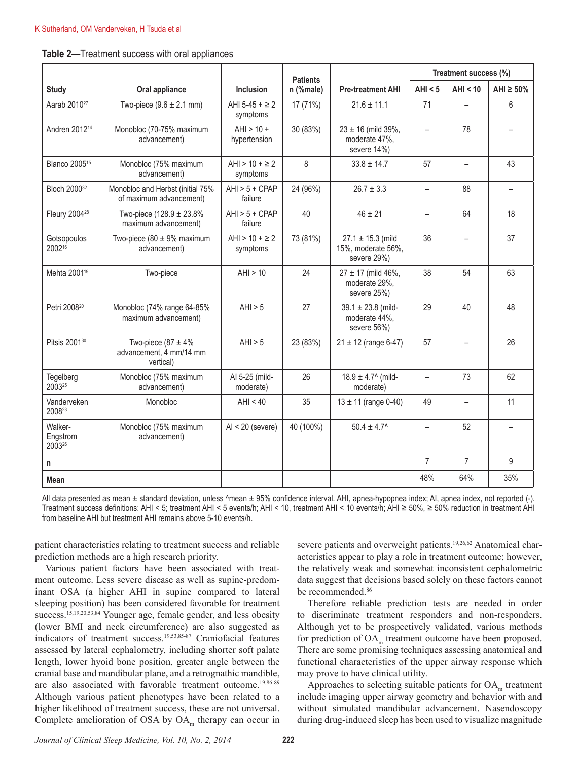|                               |                                                                |                                 | <b>Patients</b> |                                                            | Treatment success (%)    |                          |                   |
|-------------------------------|----------------------------------------------------------------|---------------------------------|-----------------|------------------------------------------------------------|--------------------------|--------------------------|-------------------|
| <b>Study</b>                  | Oral appliance                                                 | Inclusion                       | n (%male)       | <b>Pre-treatment AHI</b>                                   | AHI < 5                  | AHI < 10                 | AHI $\geq 50\%$   |
| Aarab 2010 <sup>27</sup>      | Two-piece $(9.6 \pm 2.1 \text{ mm})$                           | AHI 5-45 + $\geq$ 2<br>symptoms | 17(71%)         | $21.6 \pm 11.1$                                            | 71                       |                          | 6                 |
| Andren 2012 <sup>14</sup>     | Monobloc (70-75% maximum<br>advancement)                       | $AHI > 10 +$<br>hypertension    | 30 (83%)        | $23 \pm 16$ (mild 39%,<br>moderate 47%,<br>severe 14%)     | $\overline{\phantom{0}}$ | 78                       |                   |
| Blanco 2005 <sup>15</sup>     | Monobloc (75% maximum<br>advancement)                          | AHI > $10 + \ge 2$<br>symptoms  | 8               | $33.8 \pm 14.7$                                            | 57                       | $\qquad \qquad -$        | 43                |
| Bloch 2000 <sup>32</sup>      | Monobloc and Herbst (initial 75%<br>of maximum advancement)    | $AHI > 5 + CPAP$<br>failure     | 24 (96%)        | $26.7 \pm 3.3$                                             | $\overline{\phantom{m}}$ | 88                       | $\qquad \qquad -$ |
| Fleury 2004 <sup>28</sup>     | Two-piece $(128.9 \pm 23.8\%)$<br>maximum advancement)         | $AHI > 5 + CPAP$<br>failure     | 40              | $46 \pm 21$                                                |                          | 64                       | 18                |
| Gotsopoulos<br>200216         | Two-piece (80 $\pm$ 9% maximum<br>advancement)                 | AHI > $10 + \ge 2$<br>symptoms  | 73 (81%)        | $27.1 \pm 15.3$ (mild<br>15%, moderate 56%,<br>severe 29%) | 36                       |                          | 37                |
| Mehta 2001 <sup>19</sup>      | Two-piece                                                      | AHI > 10                        | 24              | $27 \pm 17$ (mild 46%,<br>moderate 29%,<br>severe 25%)     | 38                       | 54                       | 63                |
| Petri 2008 <sup>20</sup>      | Monobloc (74% range 64-85%<br>maximum advancement)             | AHI > 5                         | 27              | $39.1 \pm 23.8$ (mild-<br>moderate 44%,<br>severe 56%)     | 29                       | 40                       | 48                |
| Pitsis 2001 <sup>30</sup>     | Two-piece (87 $\pm$ 4%<br>advancement, 4 mm/14 mm<br>vertical) | AHI > 5                         | 23 (83%)        | $21 \pm 12$ (range 6-47)                                   | 57                       |                          | 26                |
| Tegelberg<br>200325           | Monobloc (75% maximum<br>advancement)                          | Al 5-25 (mild-<br>moderate)     | 26              | $18.9 \pm 4.7$ (mild-<br>moderate)                         | $\overline{\phantom{0}}$ | 73                       | 62                |
| Vanderveken<br>200823         | Monobloc                                                       | AHI < 40                        | 35              | $13 \pm 11$ (range 0-40)                                   | 49                       | $\overline{\phantom{0}}$ | 11                |
| Walker-<br>Engstrom<br>200326 | Monobloc (75% maximum<br>advancement)                          | $Al < 20$ (severe)              | 40 (100%)       | $50.4 \pm 4.7^{\circ}$                                     | $\overline{\phantom{0}}$ | 52                       |                   |
| n                             |                                                                |                                 |                 |                                                            | $\overline{7}$           | $\overline{7}$           | 9                 |
| <b>Mean</b>                   |                                                                |                                 |                 |                                                            | 48%                      | 64%                      | 35%               |

All data presented as mean ± standard deviation, unless ^mean ± 95% confidence interval. AHI, apnea-hypopnea index; AI, apnea index, not reported (-). Treatment success definitions: AHI < 5; treatment AHI < 5 events/h; AHI < 10, treatment AHI < 10 events/h; AHI ≥ 50%, ≥ 50% reduction in treatment AHI from baseline AHI but treatment AHI remains above 5-10 events/h.

patient characteristics relating to treatment success and reliable prediction methods are a high research priority.

Various patient factors have been associated with treatment outcome. Less severe disease as well as supine-predominant OSA (a higher AHI in supine compared to lateral sleeping position) has been considered favorable for treatment success.<sup>15,19,20,53,84</sup> Younger age, female gender, and less obesity (lower BMI and neck circumference) are also suggested as indicators of treatment success.19,53,85-87 Craniofacial features assessed by lateral cephalometry, including shorter soft palate length, lower hyoid bone position, greater angle between the cranial base and mandibular plane, and a retrognathic mandible, are also associated with favorable treatment outcome.<sup>19,86-89</sup> Although various patient phenotypes have been related to a higher likelihood of treatment success, these are not universal. Complete amelioration of OSA by  $OA<sub>m</sub>$  therapy can occur in

severe patients and overweight patients.<sup>19,26,62</sup> Anatomical characteristics appear to play a role in treatment outcome; however, the relatively weak and somewhat inconsistent cephalometric data suggest that decisions based solely on these factors cannot be recommended.<sup>86</sup>

Therefore reliable prediction tests are needed in order to discriminate treatment responders and non-responders. Although yet to be prospectively validated, various methods for prediction of OA<sub>m</sub> treatment outcome have been proposed. There are some promising techniques assessing anatomical and functional characteristics of the upper airway response which may prove to have clinical utility.

Approaches to selecting suitable patients for  $OA<sub>m</sub>$  treatment include imaging upper airway geometry and behavior with and without simulated mandibular advancement. Nasendoscopy during drug-induced sleep has been used to visualize magnitude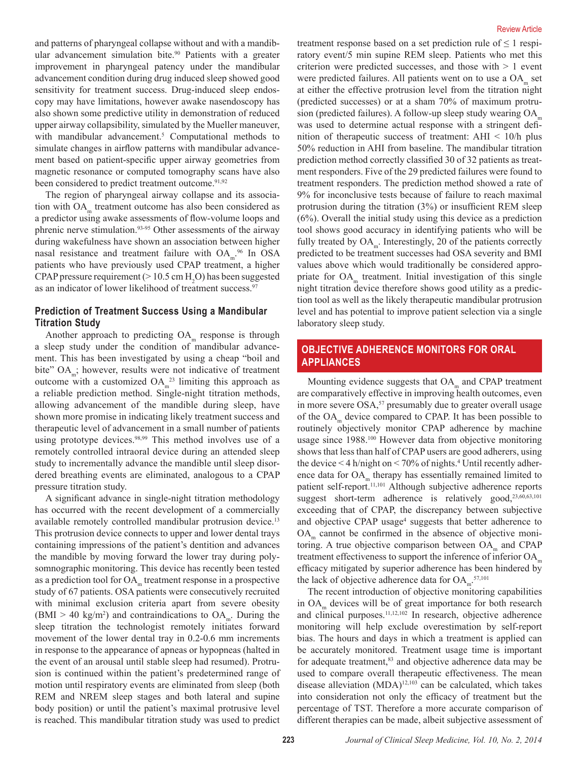and patterns of pharyngeal collapse without and with a mandibular advancement simulation bite.<sup>90</sup> Patients with a greater improvement in pharyngeal patency under the mandibular advancement condition during drug induced sleep showed good sensitivity for treatment success. Drug-induced sleep endoscopy may have limitations, however awake nasendoscopy has also shown some predictive utility in demonstration of reduced upper airway collapsibility, simulated by the Mueller maneuver, with mandibular advancement.<sup>5</sup> Computational methods to simulate changes in airflow patterns with mandibular advancement based on patient-specific upper airway geometries from magnetic resonance or computed tomography scans have also been considered to predict treatment outcome.<sup>91,92</sup>

The region of pharyngeal airway collapse and its association with OA<sub>m</sub> treatment outcome has also been considered as a predictor using awake assessments of flow-volume loops and phrenic nerve stimulation.93-95 Other assessments of the airway during wakefulness have shown an association between higher nasal resistance and treatment failure with  $OA<sub>m</sub>$ <sup>96</sup> In OSA patients who have previously used CPAP treatment, a higher CPAP pressure requirement ( $> 10.5$  cm H<sub>2</sub>O) has been suggested as an indicator of lower likelihood of treatment success.<sup>97</sup>

# **Prediction of Treatment Success Using a Mandibular Titration Study**

Another approach to predicting  $OA<sub>m</sub>$  response is through a sleep study under the condition of mandibular advancement. This has been investigated by using a cheap "boil and bite"  $OA<sub>m</sub>$ ; however, results were not indicative of treatment outcome with a customized  $OA<sub>m</sub><sup>23</sup>$  limiting this approach as a reliable prediction method. Single-night titration methods, allowing advancement of the mandible during sleep, have shown more promise in indicating likely treatment success and therapeutic level of advancement in a small number of patients using prototype devices.<sup>98,99</sup> This method involves use of a remotely controlled intraoral device during an attended sleep study to incrementally advance the mandible until sleep disordered breathing events are eliminated, analogous to a CPAP pressure titration study.

A significant advance in single-night titration methodology has occurred with the recent development of a commercially available remotely controlled mandibular protrusion device.<sup>13</sup> This protrusion device connects to upper and lower dental trays containing impressions of the patient's dentition and advances the mandible by moving forward the lower tray during polysomnographic monitoring. This device has recently been tested as a prediction tool for  $OA<sub>m</sub>$  treatment response in a prospective study of 67 patients. OSA patients were consecutively recruited with minimal exclusion criteria apart from severe obesity  $(BMI > 40 \text{ kg/m}^2)$  and contraindications to  $OA<sub>m</sub>$ . During the sleep titration the technologist remotely initiates forward movement of the lower dental tray in 0.2-0.6 mm increments in response to the appearance of apneas or hypopneas (halted in the event of an arousal until stable sleep had resumed). Protrusion is continued within the patient's predetermined range of motion until respiratory events are eliminated from sleep (both REM and NREM sleep stages and both lateral and supine body position) or until the patient's maximal protrusive level is reached. This mandibular titration study was used to predict

treatment response based on a set prediction rule of  $\leq 1$  respiratory event/5 min supine REM sleep. Patients who met this criterion were predicted successes, and those with  $> 1$  event were predicted failures. All patients went on to use a  $OA<sub>m</sub>$  set at either the effective protrusion level from the titration night (predicted successes) or at a sham 70% of maximum protrusion (predicted failures). A follow-up sleep study wearing OA was used to determine actual response with a stringent definition of therapeutic success of treatment: AHI < 10/h plus 50% reduction in AHI from baseline. The mandibular titration prediction method correctly classified 30 of 32 patients as treatment responders. Five of the 29 predicted failures were found to treatment responders. The prediction method showed a rate of 9% for inconclusive tests because of failure to reach maximal protrusion during the titration (3%) or insufficient REM sleep (6%). Overall the initial study using this device as a prediction tool shows good accuracy in identifying patients who will be fully treated by  $OA<sub>m</sub>$ . Interestingly, 20 of the patients correctly predicted to be treatment successes had OSA severity and BMI values above which would traditionally be considered appropriate for OA<sub>m</sub> treatment. Initial investigation of this single night titration device therefore shows good utility as a prediction tool as well as the likely therapeutic mandibular protrusion level and has potential to improve patient selection via a single laboratory sleep study.

# **OBJECTIVE ADHERENCE MONITORS FOR ORAL APPLIANCES**

Mounting evidence suggests that OA<sub>m</sub> and CPAP treatment are comparatively effective in improving health outcomes, even in more severe OSA,<sup>57</sup> presumably due to greater overall usage of the OA<sub>m</sub> device compared to CPAP. It has been possible to routinely objectively monitor CPAP adherence by machine usage since 1988.100 However data from objective monitoring shows that less than half of CPAP users are good adherers, using the device  $\leq$  4 h/night on  $\leq$  70% of nights.<sup>4</sup> Until recently adherence data for  $OA<sub>m</sub>$  therapy has essentially remained limited to patient self-report.<sup>11,101</sup> Although subjective adherence reports suggest short-term adherence is relatively good,<sup>23,60,63,101</sup> exceeding that of CPAP, the discrepancy between subjective and objective CPAP usage<sup>4</sup> suggests that better adherence to  $OA<sub>m</sub>$  cannot be confirmed in the absence of objective monitoring. A true objective comparison between  $OA<sub>m</sub>$  and CPAP treatment effectiveness to support the inference of inferior  $OA<sub>m</sub>$ efficacy mitigated by superior adherence has been hindered by the lack of objective adherence data for  $OA<sub>m</sub>$ <sup>57,101</sup>

The recent introduction of objective monitoring capabilities in  $OA<sub>m</sub>$  devices will be of great importance for both research and clinical purposes.<sup>11,12,102</sup> In research, objective adherence monitoring will help exclude overestimation by self-report bias. The hours and days in which a treatment is applied can be accurately monitored. Treatment usage time is important for adequate treatment,<sup>83</sup> and objective adherence data may be used to compare overall therapeutic effectiveness. The mean disease alleviation  $(MDA)^{12,103}$  can be calculated, which takes into consideration not only the efficacy of treatment but the percentage of TST. Therefore a more accurate comparison of different therapies can be made, albeit subjective assessment of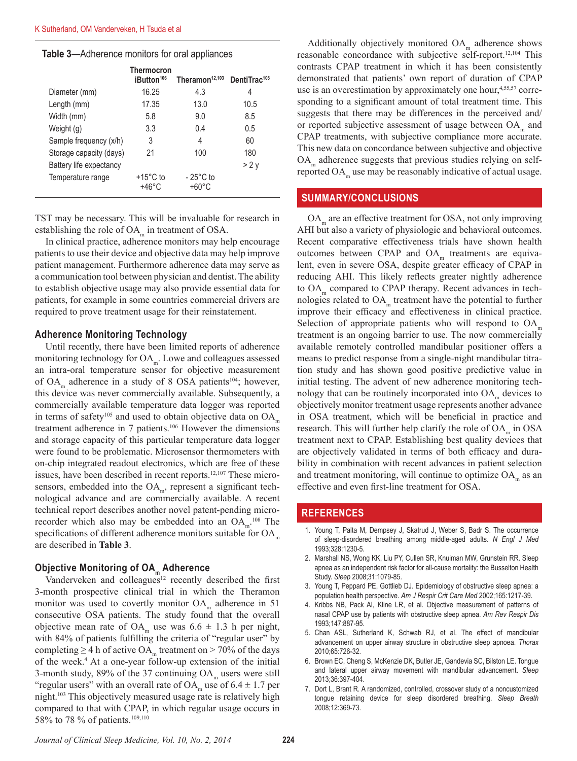#### **Table 3**—Adherence monitors for oral appliances

|                         | Thermocron<br>iButton <sup>106</sup> | Theramon <sup>12,103</sup>            | DentiTrac <sup>108</sup> |  |
|-------------------------|--------------------------------------|---------------------------------------|--------------------------|--|
| Diameter (mm)           | 16.25                                | 4.3                                   | 4                        |  |
| Length (mm)             | 17.35                                | 13.0                                  | 10.5                     |  |
| Width (mm)              | 5.8                                  | 9.0                                   | 8.5                      |  |
| Weight (g)              | 3.3                                  | 0.4                                   | 0.5                      |  |
| Sample frequency (x/h)  | 3                                    | 4                                     | 60                       |  |
| Storage capacity (days) | 21                                   | 100                                   | 180                      |  |
| Battery life expectancy |                                      |                                       | >2v                      |  |
| Temperature range       | $+15^{\circ}$ C to<br>+46°C          | $-25^{\circ}$ C to<br>$+60^{\circ}$ C |                          |  |

TST may be necessary. This will be invaluable for research in establishing the role of  $OA<sub>m</sub>$  in treatment of OSA.

In clinical practice, adherence monitors may help encourage patients to use their device and objective data may help improve patient management. Furthermore adherence data may serve as a communication tool between physician and dentist. The ability to establish objective usage may also provide essential data for patients, for example in some countries commercial drivers are required to prove treatment usage for their reinstatement.

#### **Adherence Monitoring Technology**

Until recently, there have been limited reports of adherence monitoring technology for  $OA<sub>m</sub>$ . Lowe and colleagues assessed an intra-oral temperature sensor for objective measurement of OA<sub>m</sub> adherence in a study of 8 OSA patients<sup>104</sup>; however, this device was never commercially available. Subsequently, a commercially available temperature data logger was reported in terms of safety<sup>105</sup> and used to obtain objective data on  $OA<sub>m</sub>$ treatment adherence in 7 patients.106 However the dimensions and storage capacity of this particular temperature data logger were found to be problematic. Microsensor thermometers with on-chip integrated readout electronics, which are free of these issues, have been described in recent reports.<sup>12,107</sup> These microsensors, embedded into the  $OA<sub>m</sub>$ , represent a significant technological advance and are commercially available. A recent technical report describes another novel patent-pending microrecorder which also may be embedded into an  $OA<sub>m</sub>$ <sup>108</sup>. The specifications of different adherence monitors suitable for  $OA<sub>m</sub>$ are described in **Table 3**.

# **Objective Monitoring of OA<sub>m</sub> Adherence**

Vanderveken and colleagues<sup>12</sup> recently described the first 3-month prospective clinical trial in which the Theramon monitor was used to covertly monitor  $OA<sub>m</sub>$  adherence in 51 consecutive OSA patients. The study found that the overall objective mean rate of OA<sub>m</sub> use was  $6.6 \pm 1.3$  h per night, with 84% of patients fulfilling the criteria of "regular user" by completing  $\geq$  4 h of active OA<sub>m</sub> treatment on  $>$  70% of the days of the week.4 At a one-year follow-up extension of the initial 3-month study,  $89\%$  of the 37 continuing  $OA<sub>m</sub>$  users were still "regular users" with an overall rate of OA<sub>m</sub> use of  $6.4 \pm 1.7$  per night.103 This objectively measured usage rate is relatively high compared to that with CPAP, in which regular usage occurs in 58% to 78 % of patients.109,110

Additionally objectively monitored  $OA<sub>m</sub>$  adherence shows reasonable concordance with subjective self-report.12,104 This contrasts CPAP treatment in which it has been consistently demonstrated that patients' own report of duration of CPAP use is an overestimation by approximately one hour,<sup>4,55,57</sup> corresponding to a significant amount of total treatment time. This suggests that there may be differences in the perceived and/ or reported subjective assessment of usage between  $OA<sub>m</sub>$  and CPAP treatments, with subjective compliance more accurate. This new data on concordance between subjective and objective OA<sub>m</sub> adherence suggests that previous studies relying on selfreported  $OA<sub>m</sub>$  use may be reasonably indicative of actual usage.

## **SUMMARY/CONCLUSIONS**

OA<sub>m</sub> are an effective treatment for OSA, not only improving AHI but also a variety of physiologic and behavioral outcomes. Recent comparative effectiveness trials have shown health outcomes between CPAP and  $OA<sub>m</sub>$  treatments are equivalent, even in severe OSA, despite greater efficacy of CPAP in reducing AHI. This likely reflects greater nightly adherence to OA<sub>m</sub> compared to CPAP therapy. Recent advances in technologies related to  $OA<sub>m</sub>$  treatment have the potential to further improve their efficacy and effectiveness in clinical practice. Selection of appropriate patients who will respond to  $OA<sub>m</sub>$ treatment is an ongoing barrier to use. The now commercially available remotely controlled mandibular positioner offers a means to predict response from a single-night mandibular titration study and has shown good positive predictive value in initial testing. The advent of new adherence monitoring technology that can be routinely incorporated into  $OA<sub>m</sub>$  devices to objectively monitor treatment usage represents another advance in OSA treatment, which will be beneficial in practice and research. This will further help clarify the role of OA<sub>m</sub> in OSA treatment next to CPAP. Establishing best quality devices that are objectively validated in terms of both efficacy and durability in combination with recent advances in patient selection and treatment monitoring, will continue to optimize  $OA<sub>m</sub>$  as an effective and even first-line treatment for OSA.

## **REFERENCES**

- 1. Young T, Palta M, Dempsey J, Skatrud J, Weber S, Badr S. The occurrence of sleep-disordered breathing among middle-aged adults. *N Engl J Med* 1993;328:1230-5.
- 2. Marshall NS, Wong KK, Liu PY, Cullen SR, Knuiman MW, Grunstein RR. Sleep apnea as an independent risk factor for all-cause mortality: the Busselton Health Study. *Sleep* 2008;31:1079-85.
- 3. Young T, Peppard PE, Gottlieb DJ. Epidemiology of obstructive sleep apnea: a population health perspective. *Am J Respir Crit Care Med* 2002;165:1217-39.
- 4. Kribbs NB, Pack AI, Kline LR, et al. Objective measurement of patterns of nasal CPAP use by patients with obstructive sleep apnea. *Am Rev Respir Dis* 1993;147:887-95.
- 5. Chan ASL, Sutherland K, Schwab RJ, et al. The effect of mandibular advancement on upper airway structure in obstructive sleep apnoea. *Thorax* 2010;65:726-32.
- 6. Brown EC, Cheng S, McKenzie DK, Butler JE, Gandevia SC, Bilston LE. Tongue and lateral upper airway movement with mandibular advancement. *Sleep* 2013;36:397-404.
- 7. Dort L, Brant R. A randomized, controlled, crossover study of a noncustomized tongue retaining device for sleep disordered breathing. *Sleep Breath* 2008;12:369-73.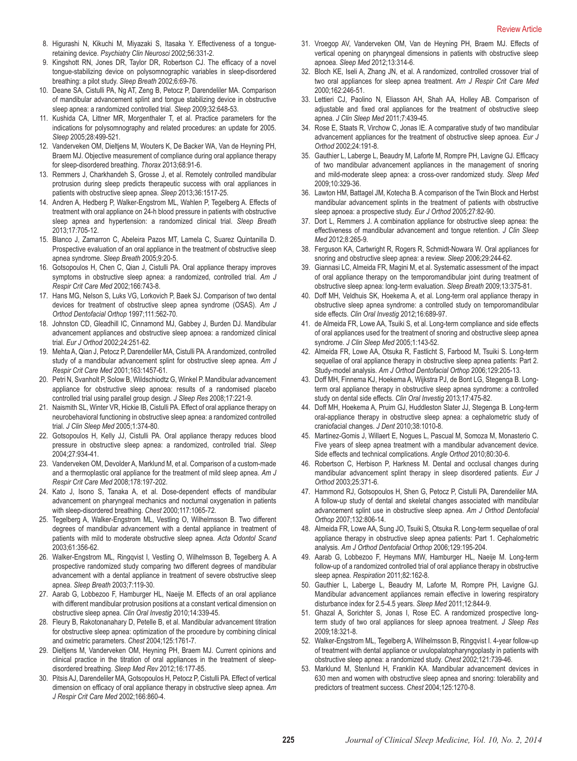- 8. Higurashi N, Kikuchi M, Miyazaki S, Itasaka Y. Effectiveness of a tongueretaining device. *Psychiatry Clin Neurosci* 2002;56:331-2.
- 9. Kingshott RN, Jones DR, Taylor DR, Robertson CJ. The efficacy of a novel tongue-stabilizing device on polysomnographic variables in sleep-disordered breathing: a pilot study. *Sleep Breath* 2002;6:69-76.
- 10. Deane SA, Cistulli PA, Ng AT, Zeng B, Petocz P, Darendeliler MA. Comparison of mandibular advancement splint and tongue stabilizing device in obstructive sleep apnea: a randomized controlled trial. *Sleep* 2009;32:648-53.
- 11. Kushida CA, Littner MR, Morgenthaler T, et al. Practice parameters for the indications for polysomnography and related procedures: an update for 2005. *Sleep* 2005;28:499-521.
- 12. Vanderveken OM, Dieltjens M, Wouters K, De Backer WA, Van de Heyning PH, Braem MJ. Objective measurement of compliance during oral appliance therapy for sleep-disordered breathing. *Thorax* 2013;68:91-6.
- 13. Remmers J, Charkhandeh S, Grosse J, et al. Remotely controlled mandibular protrusion during sleep predicts therapeutic success with oral appliances in patients with obstructive sleep apnea. *Sleep* 2013;36:1517-25.
- 14. Andren A, Hedberg P, Walker-Engstrom ML, Wahlen P, Tegelberg A. Effects of treatment with oral appliance on 24-h blood pressure in patients with obstructive sleep apnea and hypertension: a randomized clinical trial. *Sleep Breath* 2013;17:705-12.
- 15. Blanco J, Zamarron C, Abeleira Pazos MT, Lamela C, Suarez Quintanilla D. Prospective evaluation of an oral appliance in the treatment of obstructive sleep apnea syndrome. *Sleep Breath* 2005;9:20-5.
- 16. Gotsopoulos H, Chen C, Qian J, Cistulli PA. Oral appliance therapy improves symptoms in obstructive sleep apnea: a randomized, controlled trial. *Am J Respir Crit Care Med* 2002;166:743-8.
- 17. Hans MG, Nelson S, Luks VG, Lorkovich P, Baek SJ. Comparison of two dental devices for treatment of obstructive sleep apnea syndrome (OSAS). *Am J Orthod Dentofacial Orthop* 1997;111:562-70.
- 18. Johnston CD, Gleadhill IC, Cinnamond MJ, Gabbey J, Burden DJ. Mandibular advancement appliances and obstructive sleep apnoea: a randomized clinical trial. *Eur J Orthod* 2002;24:251-62.
- 19. Mehta A, Qian J, Petocz P, Darendeliler MA, Cistulli PA. A randomized, controlled study of a mandibular advancement splint for obstructive sleep apnea. *Am J Respir Crit Care Med* 2001;163:1457-61.
- 20. Petri N, Svanholt P, Solow B, Wildschiodtz G, Winkel P. Mandibular advancement appliance for obstructive sleep apnoea: results of a randomised placebo controlled trial using parallel group design. *J Sleep Res* 2008;17:221-9.
- 21. Naismith SL, Winter VR, Hickie IB, Cistulli PA. Effect of oral appliance therapy on neurobehavioral functioning in obstructive sleep apnea: a randomized controlled trial. *J Clin Sleep Med* 2005;1:374-80.
- 22. Gotsopoulos H, Kelly JJ, Cistulli PA. Oral appliance therapy reduces blood pressure in obstructive sleep apnea: a randomized, controlled trial. *Sleep* 2004;27:934-41.
- 23. Vanderveken OM, Devolder A, Marklund M, et al. Comparison of a custom-made and a thermoplastic oral appliance for the treatment of mild sleep apnea. *Am J Respir Crit Care Med* 2008;178:197-202.
- 24. Kato J, Isono S, Tanaka A, et al. Dose-dependent effects of mandibular advancement on pharyngeal mechanics and nocturnal oxygenation in patients with sleep-disordered breathing. *Chest* 2000;117:1065-72.
- 25. Tegelberg A, Walker-Engstrom ML, Vestling O, Wilhelmsson B. Two different degrees of mandibular advancement with a dental appliance in treatment of patients with mild to moderate obstructive sleep apnea. *Acta Odontol Scand* 2003;61:356-62.
- 26. Walker-Engstrom ML, Ringqvist I, Vestling O, Wilhelmsson B, Tegelberg A. A prospective randomized study comparing two different degrees of mandibular advancement with a dental appliance in treatment of severe obstructive sleep apnea. *Sleep Breath* 2003;7:119-30.
- 27. Aarab G, Lobbezoo F, Hamburger HL, Naeije M. Effects of an oral appliance with different mandibular protrusion positions at a constant vertical dimension on obstructive sleep apnea. *Clin Oral Investig* 2010;14:339-45.
- 28. Fleury B, Rakotonanahary D, Petelle B, et al. Mandibular advancement titration for obstructive sleep apnea: optimization of the procedure by combining clinical and oximetric parameters. *Chest* 2004;125:1761-7.
- 29. Dieltjens M, Vanderveken OM, Heyning PH, Braem MJ. Current opinions and clinical practice in the titration of oral appliances in the treatment of sleepdisordered breathing. *Sleep Med Rev* 2012;16:177-85.
- 30. Pitsis AJ, Darendeliler MA, Gotsopoulos H, Petocz P, Cistulli PA. Effect of vertical dimension on efficacy of oral appliance therapy in obstructive sleep apnea. *Am J Respir Crit Care Med* 2002;166:860-4.
- 31. Vroegop AV, Vanderveken OM, Van de Heyning PH, Braem MJ. Effects of vertical opening on pharyngeal dimensions in patients with obstructive sleep apnoea. *Sleep Med* 2012;13:314-6.
- 32. Bloch KE, Iseli A, Zhang JN, et al. A randomized, controlled crossover trial of two oral appliances for sleep apnea treatment. *Am J Respir Crit Care Med* 2000;162:246-51.
- 33. Lettieri CJ, Paolino N, Eliasson AH, Shah AA, Holley AB. Comparison of adjustable and fixed oral appliances for the treatment of obstructive sleep apnea. *J Clin Sleep Med* 2011;7:439-45.
- 34. Rose E, Staats R, Virchow C, Jonas IE. A comparative study of two mandibular advancement appliances for the treatment of obstructive sleep apnoea. *Eur J Orthod* 2002;24:191-8.
- 35. Gauthier L, Laberge L, Beaudry M, Laforte M, Rompre PH, Lavigne GJ. Efficacy of two mandibular advancement appliances in the management of snoring and mild-moderate sleep apnea: a cross-over randomized study. *Sleep Med* 2009;10:329-36.
- 36. Lawton HM, Battagel JM, Kotecha B. A comparison of the Twin Block and Herbst mandibular advancement splints in the treatment of patients with obstructive sleep apnoea: a prospective study. *Eur J Orthod* 2005;27:82-90.
- 37. Dort L, Remmers J. A combination appliance for obstructive sleep apnea: the effectiveness of mandibular advancement and tongue retention. *J Clin Sleep Med* 2012;8:265-9.
- 38. Ferguson KA, Cartwright R, Rogers R, Schmidt-Nowara W. Oral appliances for snoring and obstructive sleep apnea: a review. *Sleep* 2006;29:244-62.
- 39. Giannasi LC, Almeida FR, Magini M, et al. Systematic assessment of the impact of oral appliance therapy on the temporomandibular joint during treatment of obstructive sleep apnea: long-term evaluation. *Sleep Breath* 2009;13:375-81.
- 40. Doff MH, Veldhuis SK, Hoekema A, et al. Long-term oral appliance therapy in obstructive sleep apnea syndrome: a controlled study on temporomandibular side effects. *Clin Oral Investig* 2012;16:689-97.
- 41. de Almeida FR, Lowe AA, Tsuiki S, et al. Long-term compliance and side effects of oral appliances used for the treatment of snoring and obstructive sleep apnea syndrome. *J Clin Sleep Med* 2005;1:143-52.
- 42. Almeida FR, Lowe AA, Otsuka R, Fastlicht S, Farbood M, Tsuiki S. Long-term sequellae of oral appliance therapy in obstructive sleep apnea patients: Part 2. Study-model analysis. *Am J Orthod Dentofacial Orthop* 2006;129:205-13.
- 43. Doff MH, Finnema KJ, Hoekema A, Wijkstra PJ, de Bont LG, Stegenga B. Longterm oral appliance therapy in obstructive sleep apnea syndrome: a controlled study on dental side effects. *Clin Oral Investig* 2013;17:475-82.
- 44. Doff MH, Hoekema A, Pruim GJ, Huddleston Slater JJ, Stegenga B. Long-term oral-appliance therapy in obstructive sleep apnea: a cephalometric study of craniofacial changes. *J Dent* 2010;38:1010-8.
- 45. Martinez-Gomis J, Willaert E, Nogues L, Pascual M, Somoza M, Monasterio C. Five years of sleep apnea treatment with a mandibular advancement device. Side effects and technical complications. *Angle Orthod* 2010;80:30-6.
- 46. Robertson C, Herbison P, Harkness M. Dental and occlusal changes during mandibular advancement splint therapy in sleep disordered patients. *Eur J Orthod* 2003;25:371-6.
- 47. Hammond RJ, Gotsopoulos H, Shen G, Petocz P, Cistulli PA, Darendeliler MA. A follow-up study of dental and skeletal changes associated with mandibular advancement splint use in obstructive sleep apnea. *Am J Orthod Dentofacial Orthop* 2007;132:806-14.
- 48. Almeida FR, Lowe AA, Sung JO, Tsuiki S, Otsuka R. Long-term sequellae of oral appliance therapy in obstructive sleep apnea patients: Part 1. Cephalometric analysis. *Am J Orthod Dentofacial Orthop* 2006;129:195-204.
- 49. Aarab G, Lobbezoo F, Heymans MW, Hamburger HL, Naeije M. Long-term follow-up of a randomized controlled trial of oral appliance therapy in obstructive sleep apnea. *Respiration* 2011;82:162-8.
- 50. Gauthier L, Laberge L, Beaudry M, Laforte M, Rompre PH, Lavigne GJ. Mandibular advancement appliances remain effective in lowering respiratory disturbance index for 2.5-4.5 years. *Sleep Med* 2011;12:844-9.
- 51. Ghazal A, Sorichter S, Jonas I, Rose EC. A randomized prospective longterm study of two oral appliances for sleep apnoea treatment. *J Sleep Res* 2009;18:321-8.
- 52. Walker-Engstrom ML, Tegelberg A, Wilhelmsson B, Ringqvist I. 4-year follow-up of treatment with dental appliance or uvulopalatopharyngoplasty in patients with obstructive sleep apnea: a randomized study. *Chest* 2002;121:739-46.
- 53. Marklund M, Stenlund H, Franklin KA. Mandibular advancement devices in 630 men and women with obstructive sleep apnea and snoring: tolerability and predictors of treatment success. *Chest* 2004;125:1270-8.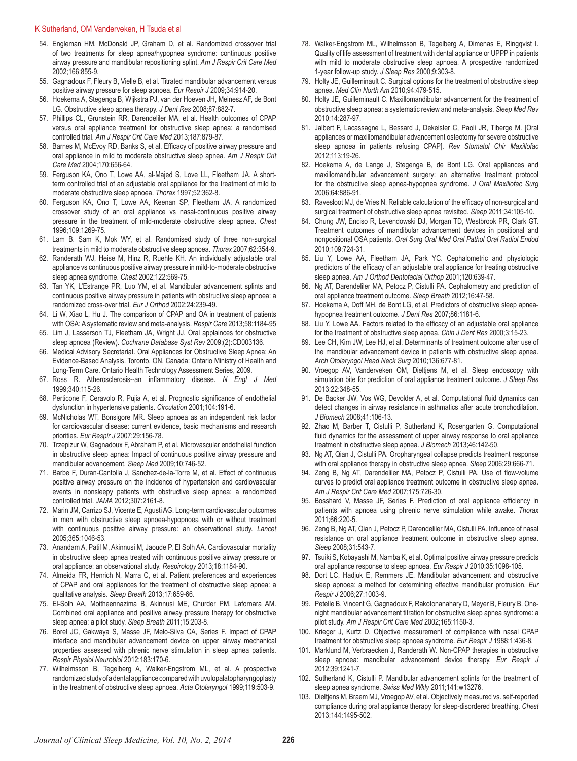#### K Sutherland, OM Vanderveken, H Tsuda et al

- 54. Engleman HM, McDonald JP, Graham D, et al. Randomized crossover trial of two treatments for sleep apnea/hypopnea syndrome: continuous positive airway pressure and mandibular repositioning splint. *Am J Respir Crit Care Med*  2002;166:855-9.
- 55. Gagnadoux F, Fleury B, Vielle B, et al. Titrated mandibular advancement versus positive airway pressure for sleep apnoea. *Eur Respir J* 2009;34:914-20.
- 56. Hoekema A, Stegenga B, Wijkstra PJ, van der Hoeven JH, Meinesz AF, de Bont LG. Obstructive sleep apnea therapy. *J Dent Res* 2008;87:882-7.
- 57. Phillips CL, Grunstein RR, Darendeliler MA, et al. Health outcomes of CPAP versus oral appliance treatment for obstructive sleep apnea: a randomised controlled trial. *Am J Respir Crit Care Med* 2013;187:879-87.
- 58. Barnes M, McEvoy RD, Banks S, et al. Efficacy of positive airway pressure and oral appliance in mild to moderate obstructive sleep apnea. *Am J Respir Crit Care Med* 2004;170:656-64.
- 59. Ferguson KA, Ono T, Lowe AA, al-Majed S, Love LL, Fleetham JA. A shortterm controlled trial of an adjustable oral appliance for the treatment of mild to moderate obstructive sleep apnoea. *Thorax* 1997;52:362-8.
- 60. Ferguson KA, Ono T, Lowe AA, Keenan SP, Fleetham JA. A randomized crossover study of an oral appliance vs nasal-continuous positive airway pressure in the treatment of mild-moderate obstructive sleep apnea. *Chest*  1996;109:1269-75.
- 61. Lam B, Sam K, Mok WY, et al. Randomised study of three non-surgical treatments in mild to moderate obstructive sleep apnoea. *Thorax* 2007;62:354-9.
- 62. Randerath WJ, Heise M, Hinz R, Ruehle KH. An individually adjustable oral appliance vs continuous positive airway pressure in mild-to-moderate obstructive sleep apnea syndrome. *Chest* 2002;122:569-75.
- 63. Tan YK, L'Estrange PR, Luo YM, et al. Mandibular advancement splints and continuous positive airway pressure in patients with obstructive sleep apnoea: a randomized cross-over trial. *Eur J Orthod* 2002;24:239-49.
- 64. Li W, Xiao L, Hu J. The comparison of CPAP and OA in treatment of patients with OSA: A systematic review and meta-analysis. *Respir Care* 2013;58:1184-95
- 65. Lim J, Lasserson TJ, Fleetham JA, Wright JJ. Oral applainces for obstructive sleep apnoea (Review). *Cochrane Database Syst Rev* 2009;(2):CD003136.
- 66. Medical Advisory Secretariat. Oral Appliances for Obstructive Sleep Apnea: An Evidence-Based Analysis. Toronto, ON, Canada: Ontario Ministry of Health and Long-Term Care. Ontario Health Technology Assessment Series, 2009.
- 67. Ross R. Atherosclerosis--an inflammatory disease. *N Engl J Med* 1999;340:115-26.
- 68. Perticone F, Ceravolo R, Pujia A, et al. Prognostic significance of endothelial dysfunction in hypertensive patients. *Circulation* 2001;104:191-6.
- 69. McNicholas WT, Bonsigore MR. Sleep apnoea as an independent risk factor for cardiovascular disease: current evidence, basic mechanisms and research priorities. *Eur Respir J* 2007;29:156-78.
- 70. Trzepizur W, Gagnadoux F, Abraham P, et al. Microvascular endothelial function in obstructive sleep apnea: Impact of continuous positive airway pressure and mandibular advancement. *Sleep Med* 2009;10:746-52.
- 71. Barbe F, Duran-Cantolla J, Sanchez-de-la-Torre M, et al. Effect of continuous positive airway pressure on the incidence of hypertension and cardiovascular events in nonsleepy patients with obstructive sleep apnea: a randomized controlled trial. *JAMA* 2012;307:2161-8.
- 72. Marin JM, Carrizo SJ, Vicente E, Agusti AG. Long-term cardiovascular outcomes in men with obstructive sleep apnoea-hypopnoea with or without treatment with continuous positive airway pressure: an observational study. *Lancet* 2005;365:1046-53.
- 73. Anandam A, Patil M, Akinnusi M, Jaoude P, El Solh AA. Cardiovascular mortality in obstructive sleep apnea treated with continuous positive airway pressure or oral appliance: an observational study. *Respirology* 2013;18:1184-90.
- 74. Almeida FR, Henrich N, Marra C, et al. Patient preferences and experiences of CPAP and oral appliances for the treatment of obstructive sleep apnea: a qualitative analysis. *Sleep Breath* 2013;17:659-66.
- 75. El-Solh AA, Moitheennazima B, Akinnusi ME, Churder PM, Lafornara AM. Combined oral appliance and positive airway pressure therapy for obstructive sleep apnea: a pilot study. *Sleep Breath* 2011;15:203-8.
- 76. Borel JC, Gakwaya S, Masse JF, Melo-Silva CA, Series F. Impact of CPAP interface and mandibular advancement device on upper airway mechanical properties assessed with phrenic nerve stimulation in sleep apnea patients. *Respir Physiol Neurobiol* 2012;183:170-6.
- 77. Wilhelmsson B, Tegelberg A, Walker-Engstrom ML, et al. A prospective randomized study of a dental appliance compared with uvulopalatopharyngoplasty in the treatment of obstructive sleep apnoea. *Acta Otolaryngol* 1999;119:503-9.
- 78. Walker-Engstrom ML, Wilhelmsson B, Tegelberg A, Dimenas E, Ringqvist I. Quality of life assessment of treatment with dental appliance or UPPP in patients with mild to moderate obstructive sleep apnoea. A prospective randomized 1-year follow-up study. *J Sleep Res* 2000;9:303-8.
- 79. Holty JE, Guilleminault C. Surgical options for the treatment of obstructive sleep apnea. *Med Clin North Am* 2010;94:479-515.
- 80. Holty JE, Guilleminault C. Maxillomandibular advancement for the treatment of obstructive sleep apnea: a systematic review and meta-analysis. *Sleep Med Rev* 2010;14:287-97.
- 81. Jalbert F, Lacassagne L, Bessard J, Dekeister C, Paoli JR, Tiberge M. [Oral appliances or maxillomandibular advancement osteotomy for severe obstructive sleep apnoea in patients refusing CPAP]. *Rev Stomatol Chir Maxillofac* 2012;113:19-26.
- 82. Hoekema A, de Lange J, Stegenga B, de Bont LG. Oral appliances and maxillomandibular advancement surgery: an alternative treatment protocol for the obstructive sleep apnea-hypopnea syndrome. *J Oral Maxillofac Surg* 2006;64:886-91.
- 83. Ravesloot MJ, de Vries N. Reliable calculation of the efficacy of non-surgical and surgical treatment of obstructive sleep apnea revisited. *Sleep* 2011;34:105-10.
- 84. Chung JW, Enciso R, Levendowski DJ, Morgan TD, Westbrook PR, Clark GT. Treatment outcomes of mandibular advancement devices in positional and nonpositional OSA patients. *Oral Surg Oral Med Oral Pathol Oral Radiol Endod* 2010;109:724-31.
- 85. Liu Y, Lowe AA, Fleetham JA, Park YC. Cephalometric and physiologic predictors of the efficacy of an adjustable oral appliance for treating obstructive sleep apnea. *Am J Orthod Dentofacial Orthop* 2001;120:639-47.
- 86. Ng AT, Darendeliler MA, Petocz P, Cistulli PA. Cephalometry and prediction of oral appliance treatment outcome. *Sleep Breath* 2012;16:47-58.
- 87. Hoekema A, Doff MH, de Bont LG, et al. Predictors of obstructive sleep apneahypopnea treatment outcome. *J Dent Res* 2007;86:1181-6.
- 88. Liu Y, Lowe AA. Factors related to the efficacy of an adjustable oral appliance for the treatment of obstructive sleep apnea. *Chin J Dent Res* 2000;3:15-23.
- 89. Lee CH, Kim JW, Lee HJ, et al. Determinants of treatment outcome after use of the mandibular advancement device in patients with obstructive sleep apnea. *Arch Otolaryngol Head Neck Surg* 2010;136:677-81.
- 90. Vroegop AV, Vanderveken OM, Dieltjens M, et al. Sleep endoscopy with simulation bite for prediction of oral appliance treatment outcome. *J Sleep Res* 2013;22:348-55.
- 91. De Backer JW, Vos WG, Devolder A, et al. Computational fluid dynamics can detect changes in airway resistance in asthmatics after acute bronchodilation. *J Biomech* 2008;41:106-13.
- 92. Zhao M, Barber T, Cistulli P, Sutherland K, Rosengarten G. Computational fluid dynamics for the assessment of upper airway response to oral appliance treatment in obstructive sleep apnea. *J Biomech* 2013;46:142-50.
- 93. Ng AT, Qian J, Cistulli PA. Oropharyngeal collapse predicts treatment response with oral appliance therapy in obstructive sleep apnea. *Sleep* 2006;29:666-71.
- 94. Zeng B, Ng AT, Darendeliler MA, Petocz P, Cistulli PA. Use of flow-volume curves to predict oral appliance treatment outcome in obstructive sleep apnea. *Am J Respir Crit Care Med* 2007;175:726-30.
- 95. Bosshard V, Masse JF, Series F. Prediction of oral appliance efficiency in patients with apnoea using phrenic nerve stimulation while awake. *Thorax* 2011;66:220-5.
- 96. Zeng B, Ng AT, Qian J, Petocz P, Darendeliler MA, Cistulli PA. Influence of nasal resistance on oral appliance treatment outcome in obstructive sleep apnea. *Sleep* 2008;31:543-7.
- 97. Tsuiki S, Kobayashi M, Namba K, et al. Optimal positive airway pressure predicts oral appliance response to sleep apnoea. *Eur Respir J* 2010;35:1098-105.
- 98. Dort LC, Hadjuk E, Remmers JE. Mandibular advancement and obstructive sleep apnoea: a method for determining effective mandibular protrusion. *Eur Respir J* 2006;27:1003-9.
- 99. Petelle B, Vincent G, Gagnadoux F, Rakotonanahary D, Meyer B, Fleury B. Onenight mandibular advancement titration for obstructive sleep apnea syndrome: a pilot study. *Am J Respir Crit Care Med* 2002;165:1150-3.
- 100. Krieger J, Kurtz D. Objective measurement of compliance with nasal CPAP treatment for obstructive sleep apnoea syndrome. *Eur Respir J* 1988;1:436-8.
- 101. Marklund M, Verbraecken J, Randerath W. Non-CPAP therapies in obstructive sleep apnoea: mandibular advancement device therapy. *Eur Respir J* 2012;39:1241-7.
- 102. Sutherland K, Cistulli P. Mandibular advancement splints for the treatment of sleep apnea syndrome. *Swiss Med Wkly* 2011;141:w13276.
- 103. Dieltjens M, Braem MJ, Vroegop AV, et al. Objectively measured vs. self-reported compliance during oral appliance therapy for sleep-disordered breathing. *Chest* 2013;144:1495-502.